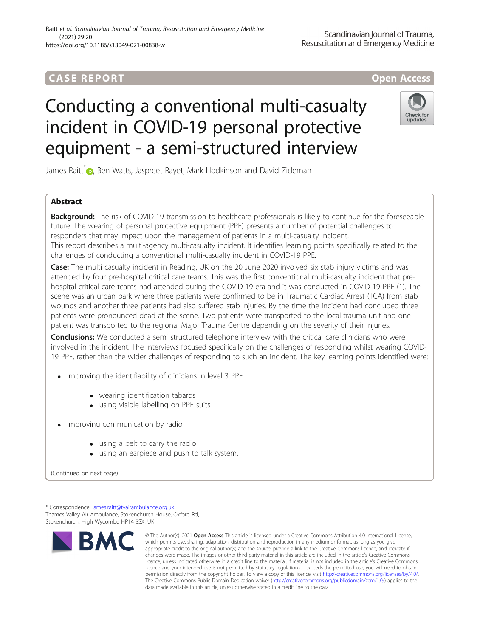# **CASE REPORT And The CASE REPORT** And The CASE ACCESS AND THE CASE ACCESS OPEN Access

# Conducting a conventional multi-casualty incident in COVID-19 personal protective equipment - a semi-structured interview



James Raitt<sup>\*</sup> **D**[,](http://orcid.org/0000-0003-1756-5799) Ben Watts, Jaspreet Rayet, Mark Hodkinson and David Zideman

# Abstract

**Background:** The risk of COVID-19 transmission to healthcare professionals is likely to continue for the foreseeable future. The wearing of personal protective equipment (PPE) presents a number of potential challenges to responders that may impact upon the management of patients in a multi-casualty incident. This report describes a multi-agency multi-casualty incident. It identifies learning points specifically related to the challenges of conducting a conventional multi-casualty incident in COVID-19 PPE.

Case: The multi casualty incident in Reading, UK on the 20 June 2020 involved six stab injury victims and was attended by four pre-hospital critical care teams. This was the first conventional multi-casualty incident that prehospital critical care teams had attended during the COVID-19 era and it was conducted in COVID-19 PPE (1). The scene was an urban park where three patients were confirmed to be in Traumatic Cardiac Arrest (TCA) from stab wounds and another three patients had also suffered stab injuries. By the time the incident had concluded three patients were pronounced dead at the scene. Two patients were transported to the local trauma unit and one patient was transported to the regional Major Trauma Centre depending on the severity of their injuries.

**Conclusions:** We conducted a semi structured telephone interview with the critical care clinicians who were involved in the incident. The interviews focused specifically on the challenges of responding whilst wearing COVID-19 PPE, rather than the wider challenges of responding to such an incident. The key learning points identified were:

- Improving the identifiability of clinicians in level 3 PPE
	- wearing identification tabards
	- using visible labelling on PPE suits
- Improving communication by radio
	- using a belt to carry the radio
	- using an earpiece and push to talk system.

(Continued on next page)

\* Correspondence: [james.raitt@tvairambulance.org.uk](mailto:james.raitt@tvairambulance.org.uk) Thames Valley Air Ambulance, Stokenchurch House, Oxford Rd, Stokenchurch, High Wycombe HP14 3SX, UK



<sup>©</sup> The Author(s), 2021 **Open Access** This article is licensed under a Creative Commons Attribution 4.0 International License, which permits use, sharing, adaptation, distribution and reproduction in any medium or format, as long as you give appropriate credit to the original author(s) and the source, provide a link to the Creative Commons licence, and indicate if changes were made. The images or other third party material in this article are included in the article's Creative Commons licence, unless indicated otherwise in a credit line to the material. If material is not included in the article's Creative Commons licence and your intended use is not permitted by statutory regulation or exceeds the permitted use, you will need to obtain permission directly from the copyright holder. To view a copy of this licence, visit [http://creativecommons.org/licenses/by/4.0/.](http://creativecommons.org/licenses/by/4.0/) The Creative Commons Public Domain Dedication waiver [\(http://creativecommons.org/publicdomain/zero/1.0/](http://creativecommons.org/publicdomain/zero/1.0/)) applies to the data made available in this article, unless otherwise stated in a credit line to the data.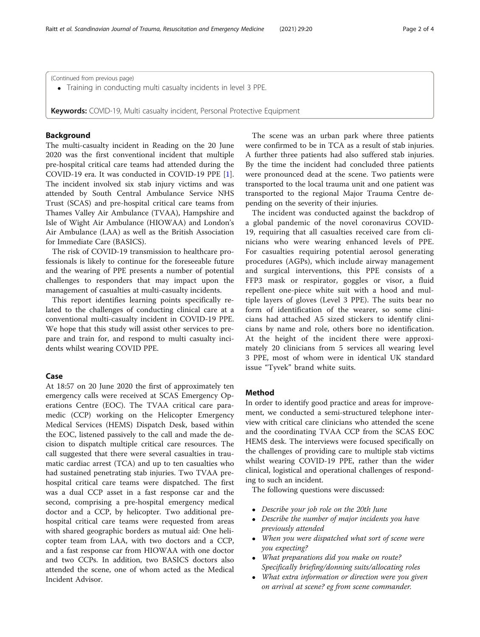Training in conducting multi casualty incidents in level 3 PPE.

Keywords: COVID-19, Multi casualty incident, Personal Protective Equipment

### Background

The multi-casualty incident in Reading on the 20 June 2020 was the first conventional incident that multiple pre-hospital critical care teams had attended during the COVID-19 era. It was conducted in COVID-19 PPE [\[1](#page-3-0)]. The incident involved six stab injury victims and was attended by South Central Ambulance Service NHS Trust (SCAS) and pre-hospital critical care teams from Thames Valley Air Ambulance (TVAA), Hampshire and Isle of Wight Air Ambulance (HIOWAA) and London's Air Ambulance (LAA) as well as the British Association for Immediate Care (BASICS).

The risk of COVID-19 transmission to healthcare professionals is likely to continue for the foreseeable future and the wearing of PPE presents a number of potential challenges to responders that may impact upon the management of casualties at multi-casualty incidents.

This report identifies learning points specifically related to the challenges of conducting clinical care at a conventional multi-casualty incident in COVID-19 PPE. We hope that this study will assist other services to prepare and train for, and respond to multi casualty incidents whilst wearing COVID PPE.

#### Case

At 18:57 on 20 June 2020 the first of approximately ten emergency calls were received at SCAS Emergency Operations Centre (EOC). The TVAA critical care paramedic (CCP) working on the Helicopter Emergency Medical Services (HEMS) Dispatch Desk, based within the EOC, listened passively to the call and made the decision to dispatch multiple critical care resources. The call suggested that there were several casualties in traumatic cardiac arrest (TCA) and up to ten casualties who had sustained penetrating stab injuries. Two TVAA prehospital critical care teams were dispatched. The first was a dual CCP asset in a fast response car and the second, comprising a pre-hospital emergency medical doctor and a CCP, by helicopter. Two additional prehospital critical care teams were requested from areas with shared geographic borders as mutual aid: One helicopter team from LAA, with two doctors and a CCP, and a fast response car from HIOWAA with one doctor and two CCPs. In addition, two BASICS doctors also attended the scene, one of whom acted as the Medical Incident Advisor.

The scene was an urban park where three patients were confirmed to be in TCA as a result of stab injuries. A further three patients had also suffered stab injuries. By the time the incident had concluded three patients were pronounced dead at the scene. Two patients were transported to the local trauma unit and one patient was transported to the regional Major Trauma Centre depending on the severity of their injuries.

The incident was conducted against the backdrop of a global pandemic of the novel coronavirus COVID-19, requiring that all casualties received care from clinicians who were wearing enhanced levels of PPE. For casualties requiring potential aerosol generating procedures (AGPs), which include airway management and surgical interventions, this PPE consists of a FFP3 mask or respirator, goggles or visor, a fluid repellent one-piece white suit with a hood and multiple layers of gloves (Level 3 PPE). The suits bear no form of identification of the wearer, so some clinicians had attached A5 sized stickers to identify clinicians by name and role, others bore no identification. At the height of the incident there were approximately 20 clinicians from 5 services all wearing level 3 PPE, most of whom were in identical UK standard issue "Tyvek" brand white suits.

#### Method

In order to identify good practice and areas for improvement, we conducted a semi-structured telephone interview with critical care clinicians who attended the scene and the coordinating TVAA CCP from the SCAS EOC HEMS desk. The interviews were focused specifically on the challenges of providing care to multiple stab victims whilst wearing COVID-19 PPE, rather than the wider clinical, logistical and operational challenges of responding to such an incident.

The following questions were discussed:

- Describe your job role on the 20th June
- Describe the number of major incidents you have previously attended
- When you were dispatched what sort of scene were you expecting?
- What preparations did you make on route? Specifically briefing/donning suits/allocating roles
- What extra information or direction were you given on arrival at scene? eg from scene commander.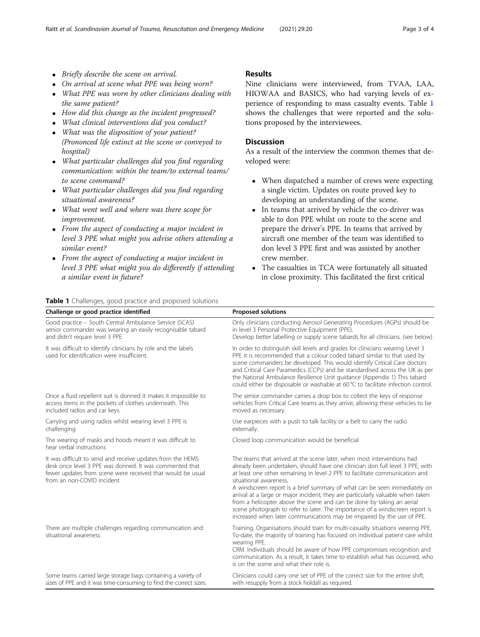- Briefly describe the scene on arrival.
- On arrival at scene what PPE was being worn?
- What PPE was worn by other clinicians dealing with the same patient?
- How did this change as the incident progressed?
- What clinical interventions did you conduct?
- What was the disposition of your patient? (Prononced life extinct at the scene or conveyed to hospital)
- What particular challenges did you find regarding communication: within the team/to external teams/ to scene command?
- What particular challenges did you find regarding situational awareness?
- What went well and where was there scope for improvement.

**Table 1** Challenges, good practice and proposed solutions

- From the aspect of conducting a major incident in level 3 PPE what might you advise others attending a similar event?
- From the aspect of conducting a major incident in level 3 PPE what might you do differently if attending a similar event in future?

#### Results

Nine clinicians were interviewed, from TVAA, LAA, HIOWAA and BASICS, who had varying levels of experience of responding to mass casualty events. Table 1 shows the challenges that were reported and the solutions proposed by the interviewees.

### **Discussion**

As a result of the interview the common themes that developed were:

- When dispatched a number of crews were expecting a single victim. Updates on route proved key to developing an understanding of the scene.
- In teams that arrived by vehicle the co-driver was able to don PPE whilst on route to the scene and prepare the driver's PPE. In teams that arrived by aircraft one member of the team was identified to don level 3 PPE first and was assisted by another crew member.
- The casualties in TCA were fortunately all situated in close proximity. This facilitated the first critical

| Challenge or good practice identified                                                                                                                                                                             | <b>Proposed solutions</b>                                                                                                                                                                                                                                                                                                                                                                                                                                                                                                                                                                                                                                           |
|-------------------------------------------------------------------------------------------------------------------------------------------------------------------------------------------------------------------|---------------------------------------------------------------------------------------------------------------------------------------------------------------------------------------------------------------------------------------------------------------------------------------------------------------------------------------------------------------------------------------------------------------------------------------------------------------------------------------------------------------------------------------------------------------------------------------------------------------------------------------------------------------------|
| Good practice - South Central Ambulance Service (SCAS)<br>senior commander was wearing an easily recognisable tabard<br>and didn't require level 3 PPE                                                            | Only clinicians conducting Aerosol Generating Procedures (AGPs) should be<br>in level 3 Personal Protective Equipment (PPE).<br>Develop better labelling or supply scene tabards for all clinicians. (see below)                                                                                                                                                                                                                                                                                                                                                                                                                                                    |
| It was difficult to identify clinicians by role and the labels<br>used for identification were insufficient.                                                                                                      | In order to distinguish skill levels and grades for clinicians wearing Level 3<br>PPE it is recommended that a colour coded tabard similar to that used by<br>scene commanders be developed. This would identify Critical Care doctors<br>and Critical Care Paramedics (CCPs) and be standardised across the UK as per<br>the National Ambulance Resilience Unit guidance (Appendix 1) This tabard<br>could either be disposable or washable at 60 °C to facilitate infection control.                                                                                                                                                                              |
| Once a fluid repellent suit is donned it makes it impossible to<br>access items in the pockets of clothes underneath. This<br>included radios and car keys.                                                       | The senior commander carries a drop box to collect the keys of response<br>vehicles from Critical Care teams as they arrive, allowing these vehicles to be<br>moved as necessary.                                                                                                                                                                                                                                                                                                                                                                                                                                                                                   |
| Carrying and using radios whilst wearing level 3 PPE is<br>challenging                                                                                                                                            | Use earpieces with a push to talk facility or a belt to carry the radio<br>externally.                                                                                                                                                                                                                                                                                                                                                                                                                                                                                                                                                                              |
| The wearing of masks and hoods meant it was difficult to<br>hear verbal instructions                                                                                                                              | Closed loop communication would be beneficial                                                                                                                                                                                                                                                                                                                                                                                                                                                                                                                                                                                                                       |
| It was difficult to send and receive updates from the HEMS<br>desk once level 3 PPE was donned. It was commented that<br>fewer updates from scene were received that would be usual<br>from an non-COVID incident | The teams that arrived at the scene later, when most interventions had<br>already been undertaken, should have one clinician don full level 3 PPE, with<br>at least one other remaining in level 2 PPE to facilitate communication and<br>situational awareness.<br>A windscreen report is a brief summary of what can be seen immediately on<br>arrival at a large or major incident; they are particularly valuable when taken<br>from a helicopter above the scene and can be done by taking an aerial<br>scene photograph to refer to later. The importance of a windscreen report is<br>increased when later communications may be impaired by the use of PPE. |
| There are multiple challenges regarding communication and<br>situational awareness                                                                                                                                | Training. Organisations should train for multi-casualty situations wearing PPE.<br>To-date, the majority of training has focused on individual patient care whilst<br>wearing PPE.<br>CRM. Individuals should be aware of how PPE compromises recognition and<br>communication. As a result, it takes time to establish what has occurred, who<br>is on the scene and what their role is.                                                                                                                                                                                                                                                                           |
| Some teams carried large storage bags containing a variety of<br>sizes of PPE and it was time-consuming to find the correct sizes.                                                                                | Clinicians could carry one set of PPE of the correct size for the entire shift,<br>with resupply from a stock holdall as required.                                                                                                                                                                                                                                                                                                                                                                                                                                                                                                                                  |